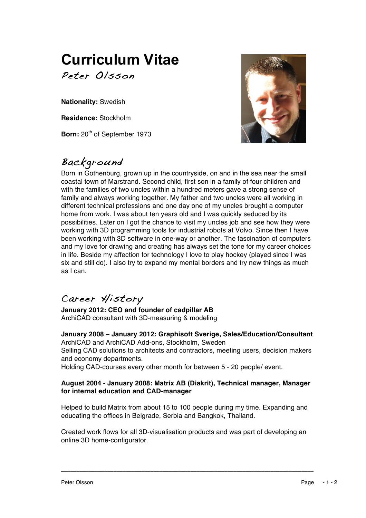# **Curriculum Vitae** Peter Olsson

**Nationality:** Swedish

**Residence:** Stockholm

**Born:** 20<sup>th</sup> of September 1973

# Background

Born in Gothenburg, grown up in the countryside, on and in the sea near the small coastal town of Marstrand. Second child, first son in a family of four children and with the families of two uncles within a hundred meters gave a strong sense of family and always working together. My father and two uncles were all working in different technical professions and one day one of my uncles brought a computer home from work. I was about ten years old and I was quickly seduced by its possibilities. Later on I got the chance to visit my uncles job and see how they were working with 3D programming tools for industrial robots at Volvo. Since then I have been working with 3D software in one-way or another. The fascination of computers and my love for drawing and creating has always set the tone for my career choices in life. Beside my affection for technology I love to play hockey (played since I was six and still do). I also try to expand my mental borders and try new things as much as I can.

## Career History

**January 2012: CEO and founder of cadpillar AB** ArchiCAD consultant with 3D-measuring & modeling

**January 2008 – January 2012: Graphisoft Sverige, Sales/Education/Consultant** ArchiCAD and ArchiCAD Add-ons, Stockholm, Sweden Selling CAD solutions to architects and contractors, meeting users, decision makers and economy departments. Holding CAD-courses every other month for between 5 - 20 people/ event.

### **August 2004 - January 2008: Matrix AB (Diakrit), Technical manager, Manager for internal education and CAD-manager**

Helped to build Matrix from about 15 to 100 people during my time. Expanding and educating the offices in Belgrade, Serbia and Bangkok, Thailand.

Created work flows for all 3D-visualisation products and was part of developing an online 3D home-configurator.

\_\_\_\_\_\_\_\_\_\_\_\_\_\_\_\_\_\_\_\_\_\_\_\_\_\_\_\_\_\_\_\_\_\_\_\_\_\_\_\_\_\_\_\_\_\_\_\_\_\_\_\_\_\_\_\_\_\_\_\_\_\_\_\_\_\_\_\_\_\_\_\_\_\_\_\_\_\_\_\_\_\_